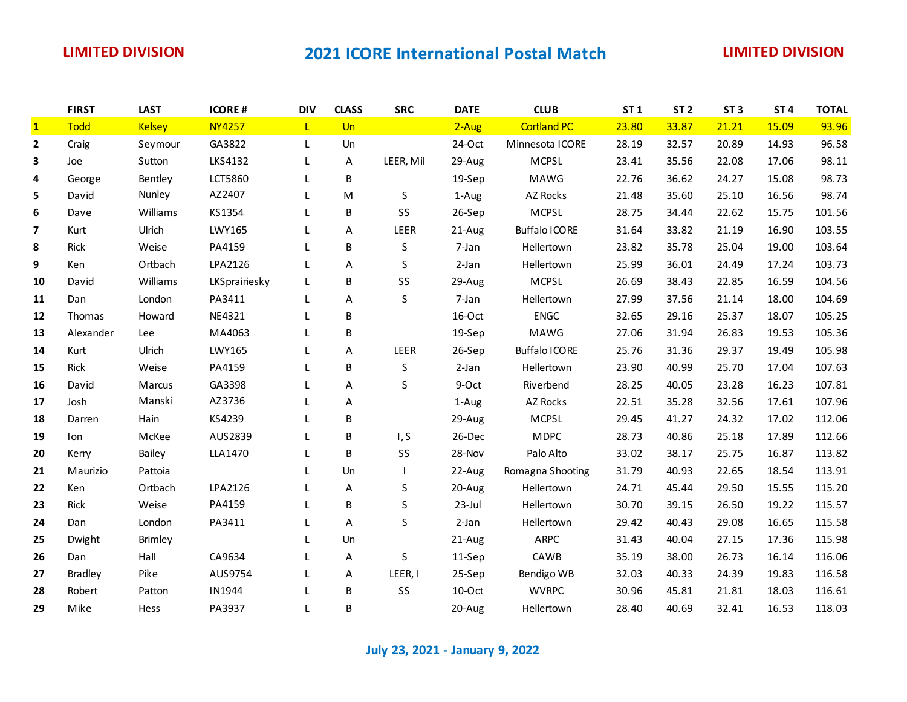|              | <b>FIRST</b> | <b>LAST</b>   | <b>ICORE#</b> | <b>DIV</b>   | <b>CLASS</b> | <b>SRC</b> | <b>DATE</b> | <b>CLUB</b>          | <b>ST1</b> | ST <sub>2</sub> | ST <sub>3</sub> | ST <sub>4</sub> | <b>TOTAL</b> |
|--------------|--------------|---------------|---------------|--------------|--------------|------------|-------------|----------------------|------------|-----------------|-----------------|-----------------|--------------|
| $\mathbf{1}$ | <b>Todd</b>  | <b>Kelsey</b> | <b>NY4257</b> | $\mathsf{L}$ | Un           |            | $2-Aug$     | <b>Cortland PC</b>   | 23.80      | 33.87           | 21.21           | 15.09           | 93.96        |
| $\mathbf{2}$ | Craig        | Seymour       | GA3822        | $\mathsf{L}$ | Un           |            | 24-Oct      | Minnesota ICORE      | 28.19      | 32.57           | 20.89           | 14.93           | 96.58        |
| 3            | Joe          | Sutton        | LKS4132       | L            | A            | LEER, Mil  | 29-Aug      | <b>MCPSL</b>         | 23.41      | 35.56           | 22.08           | 17.06           | 98.11        |
| 4            | George       | Bentley       | LCT5860       | $\mathsf{L}$ | B            |            | 19-Sep      | <b>MAWG</b>          | 22.76      | 36.62           | 24.27           | 15.08           | 98.73        |
| 5            | David        | Nunley        | AZ2407        | L            | M            | S          | 1-Aug       | <b>AZ Rocks</b>      | 21.48      | 35.60           | 25.10           | 16.56           | 98.74        |
| 6            | Dave         | Williams      | KS1354        | L            | B            | SS         | 26-Sep      | MCPSL                | 28.75      | 34.44           | 22.62           | 15.75           | 101.56       |
| 7            | Kurt         | Ulrich        | <b>LWY165</b> | L            | A            | LEER       | 21-Aug      | <b>Buffalo ICORE</b> | 31.64      | 33.82           | 21.19           | 16.90           | 103.55       |
| 8            | Rick         | Weise         | PA4159        | L            | B            | S          | 7-Jan       | Hellertown           | 23.82      | 35.78           | 25.04           | 19.00           | 103.64       |
| 9            | Ken          | Ortbach       | LPA2126       | L            | A            | S          | 2-Jan       | Hellertown           | 25.99      | 36.01           | 24.49           | 17.24           | 103.73       |
| 10           | David        | Williams      | LKSprairiesky | L            | В            | SS         | 29-Aug      | MCPSL                | 26.69      | 38.43           | 22.85           | 16.59           | 104.56       |
| 11           | Dan          | London        | PA3411        | L            | A            | S          | 7-Jan       | Hellertown           | 27.99      | 37.56           | 21.14           | 18.00           | 104.69       |
| 12           | Thomas       | Howard        | NE4321        | L            | B            |            | 16-Oct      | <b>ENGC</b>          | 32.65      | 29.16           | 25.37           | 18.07           | 105.25       |
| 13           | Alexander    | Lee           | MA4063        | L            | В            |            | 19-Sep      | MAWG                 | 27.06      | 31.94           | 26.83           | 19.53           | 105.36       |
| 14           | Kurt         | Ulrich        | LWY165        | L            | А            | LEER       | 26-Sep      | <b>Buffalo ICORE</b> | 25.76      | 31.36           | 29.37           | 19.49           | 105.98       |
| 15           | <b>Rick</b>  | Weise         | PA4159        | L            | B            | S          | 2-Jan       | Hellertown           | 23.90      | 40.99           | 25.70           | 17.04           | 107.63       |
| 16           | David        | Marcus        | GA3398        | L            | A            | S          | 9-Oct       | Riverbend            | 28.25      | 40.05           | 23.28           | 16.23           | 107.81       |
| 17           | Josh         | Manski        | AZ3736        | T.           | A            |            | 1-Aug       | AZ Rocks             | 22.51      | 35.28           | 32.56           | 17.61           | 107.96       |
| 18           | Darren       | Hain          | KS4239        | L            | B            |            | 29-Aug      | <b>MCPSL</b>         | 29.45      | 41.27           | 24.32           | 17.02           | 112.06       |
| 19           | Ion          | McKee         | AUS2839       | L            | B            | I, S       | 26-Dec      | <b>MDPC</b>          | 28.73      | 40.86           | 25.18           | 17.89           | 112.66       |
| 20           | Kerry        | Bailey        | LLA1470       | L            | B            | SS         | 28-Nov      | Palo Alto            | 33.02      | 38.17           | 25.75           | 16.87           | 113.82       |
| 21           | Maurizio     | Pattoia       |               | $\mathbf{L}$ | Un           |            | 22-Aug      | Romagna Shooting     | 31.79      | 40.93           | 22.65           | 18.54           | 113.91       |
| 22           | Ken          | Ortbach       | LPA2126       | L            | A            | S          | 20-Aug      | Hellertown           | 24.71      | 45.44           | 29.50           | 15.55           | 115.20       |
| 23           | Rick         | Weise         | PA4159        |              | В            | S          | 23-Jul      | Hellertown           | 30.70      | 39.15           | 26.50           | 19.22           | 115.57       |
| 24           | Dan          | London        | PA3411        | L            | A            | S          | 2-Jan       | Hellertown           | 29.42      | 40.43           | 29.08           | 16.65           | 115.58       |
| 25           | Dwight       | Brimley       |               |              | Un           |            | 21-Aug      | ARPC                 | 31.43      | 40.04           | 27.15           | 17.36           | 115.98       |
| 26           | Dan          | Hall          | CA9634        |              | Α            | S          | 11-Sep      | CAWB                 | 35.19      | 38.00           | 26.73           | 16.14           | 116.06       |
| 27           | Bradley      | Pike          | AUS9754       | L            | A            | LEER, I    | 25-Sep      | Bendigo WB           | 32.03      | 40.33           | 24.39           | 19.83           | 116.58       |
| 28           | Robert       | Patton        | IN1944        |              | В            | SS         | 10-Oct      | <b>WVRPC</b>         | 30.96      | 45.81           | 21.81           | 18.03           | 116.61       |
| 29           | Mike         | Hess          | PA3937        |              | В            |            | 20-Aug      | Hellertown           | 28.40      | 40.69           | 32.41           | 16.53           | 118.03       |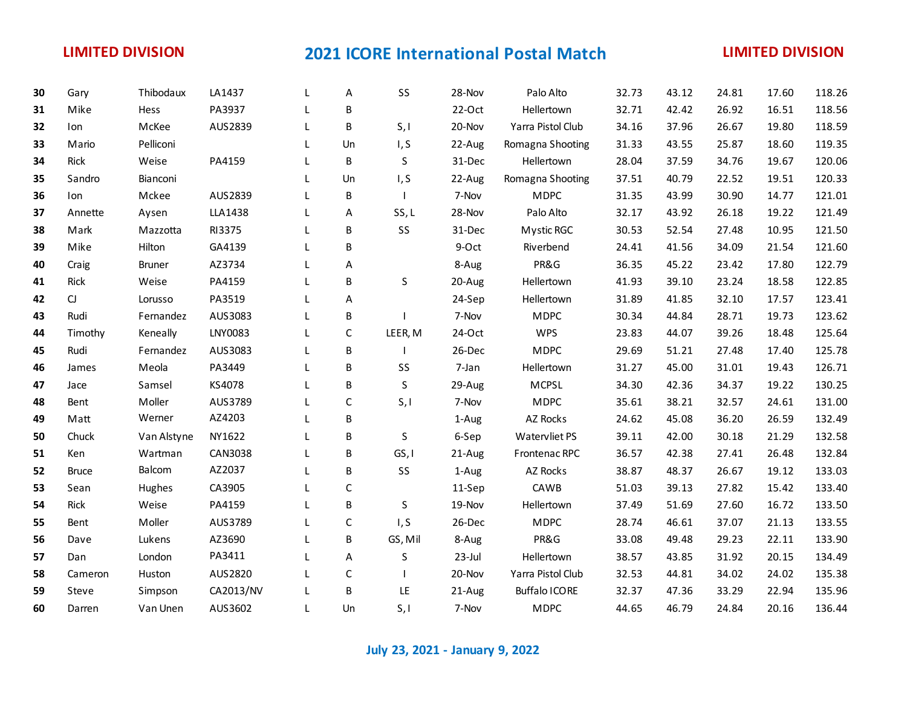| 30 | Gary         | Thibodaux     | LA1437    | L            | A  | SS      | 28-Nov    | Palo Alto            | 32.73 | 43.12 | 24.81 | 17.60 | 118.26 |
|----|--------------|---------------|-----------|--------------|----|---------|-----------|----------------------|-------|-------|-------|-------|--------|
| 31 | Mike         | Hess          | PA3937    | L            | B  |         | $22-Oct$  | Hellertown           | 32.71 | 42.42 | 26.92 | 16.51 | 118.56 |
| 32 | Ion          | McKee         | AUS2839   | L            | B  | S, I    | 20-Nov    | Yarra Pistol Club    | 34.16 | 37.96 | 26.67 | 19.80 | 118.59 |
| 33 | Mario        | Pelliconi     |           | L            | Un | I, S    | 22-Aug    | Romagna Shooting     | 31.33 | 43.55 | 25.87 | 18.60 | 119.35 |
| 34 | Rick         | Weise         | PA4159    | L            | В  | S       | 31-Dec    | Hellertown           | 28.04 | 37.59 | 34.76 | 19.67 | 120.06 |
| 35 | Sandro       | Bianconi      |           | L            | Un | I, S    | 22-Aug    | Romagna Shooting     | 37.51 | 40.79 | 22.52 | 19.51 | 120.33 |
| 36 | Ion          | Mckee         | AUS2839   | L            | B  |         | 7-Nov     | <b>MDPC</b>          | 31.35 | 43.99 | 30.90 | 14.77 | 121.01 |
| 37 | Annette      | Aysen         | LLA1438   | $\mathsf{L}$ | А  | SS, L   | 28-Nov    | Palo Alto            | 32.17 | 43.92 | 26.18 | 19.22 | 121.49 |
| 38 | Mark         | Mazzotta      | RI3375    | L            | B  | SS      | 31-Dec    | Mystic RGC           | 30.53 | 52.54 | 27.48 | 10.95 | 121.50 |
| 39 | Mike         | Hilton        | GA4139    | $\mathsf{L}$ | B  |         | 9-Oct     | Riverbend            | 24.41 | 41.56 | 34.09 | 21.54 | 121.60 |
| 40 | Craig        | <b>Bruner</b> | AZ3734    | L            | А  |         | 8-Aug     | PR&G                 | 36.35 | 45.22 | 23.42 | 17.80 | 122.79 |
| 41 | Rick         | Weise         | PA4159    | L            | В  | S       | 20-Aug    | Hellertown           | 41.93 | 39.10 | 23.24 | 18.58 | 122.85 |
| 42 | $\mathsf{C}$ | Lorusso       | PA3519    | L            | Α  |         | 24-Sep    | Hellertown           | 31.89 | 41.85 | 32.10 | 17.57 | 123.41 |
| 43 | Rudi         | Fernandez     | AUS3083   | L            | B  |         | 7-Nov     | <b>MDPC</b>          | 30.34 | 44.84 | 28.71 | 19.73 | 123.62 |
| 44 | Timothy      | Keneally      | LNY0083   | $\mathsf{L}$ | C  | LEER, M | 24-Oct    | <b>WPS</b>           | 23.83 | 44.07 | 39.26 | 18.48 | 125.64 |
| 45 | Rudi         | Fernandez     | AUS3083   | L            | B  |         | 26-Dec    | <b>MDPC</b>          | 29.69 | 51.21 | 27.48 | 17.40 | 125.78 |
| 46 | James        | Meola         | PA3449    | $\mathsf{L}$ | B  | SS      | 7-Jan     | Hellertown           | 31.27 | 45.00 | 31.01 | 19.43 | 126.71 |
| 47 | Jace         | Samsel        | KS4078    | L            | B  | S       | 29-Aug    | <b>MCPSL</b>         | 34.30 | 42.36 | 34.37 | 19.22 | 130.25 |
| 48 | Bent         | Moller        | AUS3789   | L            | C  | S, I    | 7-Nov     | <b>MDPC</b>          | 35.61 | 38.21 | 32.57 | 24.61 | 131.00 |
| 49 | Matt         | Werner        | AZ4203    | $\mathsf{L}$ | B  |         | 1-Aug     | AZ Rocks             | 24.62 | 45.08 | 36.20 | 26.59 | 132.49 |
| 50 | Chuck        | Van Alstyne   | NY1622    | L            | B  | S       | 6-Sep     | Watervliet PS        | 39.11 | 42.00 | 30.18 | 21.29 | 132.58 |
| 51 | Ken          | Wartman       | CAN3038   | $\mathsf{L}$ | B  | GS, I   | 21-Aug    | Frontenac RPC        | 36.57 | 42.38 | 27.41 | 26.48 | 132.84 |
| 52 | <b>Bruce</b> | Balcom        | AZ2037    | $\mathsf{L}$ | B  | SS      | 1-Aug     | AZ Rocks             | 38.87 | 48.37 | 26.67 | 19.12 | 133.03 |
| 53 | Sean         | Hughes        | CA3905    | $\mathsf{L}$ | C  |         | 11-Sep    | CAWB                 | 51.03 | 39.13 | 27.82 | 15.42 | 133.40 |
| 54 | Rick         | Weise         | PA4159    | L            | B  | S       | 19-Nov    | Hellertown           | 37.49 | 51.69 | 27.60 | 16.72 | 133.50 |
| 55 | Bent         | Moller        | AUS3789   | L            | C  | I, S    | 26-Dec    | <b>MDPC</b>          | 28.74 | 46.61 | 37.07 | 21.13 | 133.55 |
| 56 | Dave         | Lukens        | AZ3690    | $\mathsf{L}$ | B  | GS, Mil | 8-Aug     | PR&G                 | 33.08 | 49.48 | 29.23 | 22.11 | 133.90 |
| 57 | Dan          | London        | PA3411    | L            | А  | S       | $23$ -Jul | Hellertown           | 38.57 | 43.85 | 31.92 | 20.15 | 134.49 |
| 58 | Cameron      | Huston        | AUS2820   | L            | C  |         | 20-Nov    | Yarra Pistol Club    | 32.53 | 44.81 | 34.02 | 24.02 | 135.38 |
| 59 | Steve        | Simpson       | CA2013/NV | L            | B  | LE      | 21-Aug    | <b>Buffalo ICORE</b> | 32.37 | 47.36 | 33.29 | 22.94 | 135.96 |
| 60 | Darren       | Van Unen      | AUS3602   | L            | Un | S, I    | 7-Nov     | <b>MDPC</b>          | 44.65 | 46.79 | 24.84 | 20.16 | 136.44 |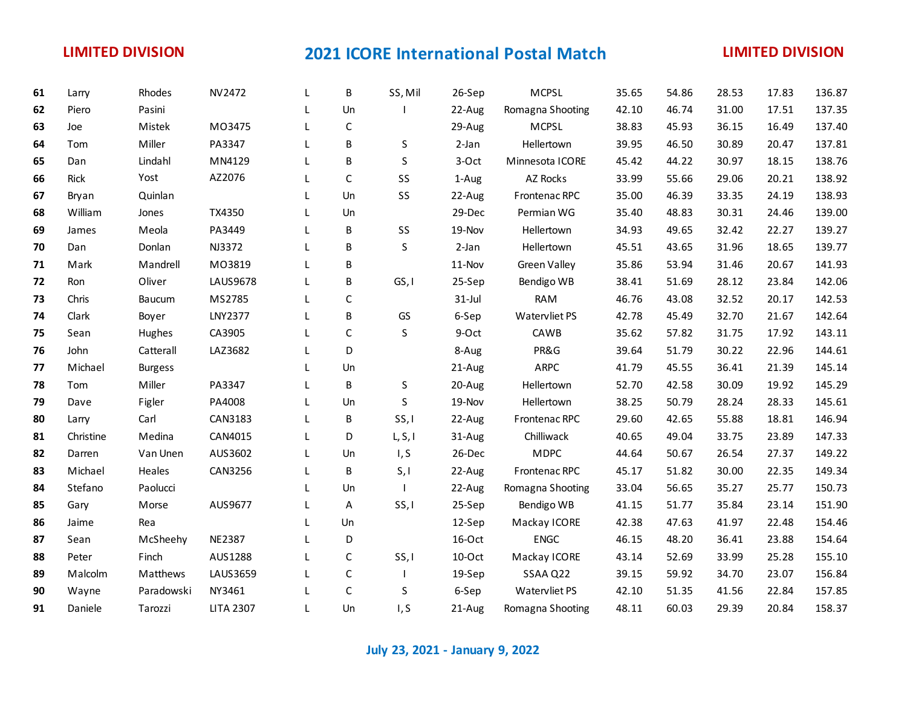| 61 | Larry       | Rhodes         | NV2472           | L            | B            | SS, Mil        | 26-Sep    | <b>MCPSL</b>        | 35.65 | 54.86 | 28.53 | 17.83 | 136.87 |
|----|-------------|----------------|------------------|--------------|--------------|----------------|-----------|---------------------|-------|-------|-------|-------|--------|
| 62 | Piero       | Pasini         |                  | L            | Un           |                | 22-Aug    | Romagna Shooting    | 42.10 | 46.74 | 31.00 | 17.51 | 137.35 |
| 63 | Joe         | Mistek         | MO3475           | $\mathsf{L}$ | C            |                | 29-Aug    | <b>MCPSL</b>        | 38.83 | 45.93 | 36.15 | 16.49 | 137.40 |
| 64 | Tom         | Miller         | PA3347           | L            | B            | S              | 2-Jan     | Hellertown          | 39.95 | 46.50 | 30.89 | 20.47 | 137.81 |
| 65 | Dan         | Lindahl        | MN4129           | $\mathsf{L}$ | B            | S              | 3-Oct     | Minnesota ICORE     | 45.42 | 44.22 | 30.97 | 18.15 | 138.76 |
| 66 | <b>Rick</b> | Yost           | AZ2076           | $\mathsf{L}$ | $\mathsf{C}$ | SS             | 1-Aug     | AZ Rocks            | 33.99 | 55.66 | 29.06 | 20.21 | 138.92 |
| 67 | Bryan       | Quinlan        |                  | L            | Un           | SS             | 22-Aug    | Frontenac RPC       | 35.00 | 46.39 | 33.35 | 24.19 | 138.93 |
| 68 | William     | Jones          | TX4350           | $\mathsf{L}$ | Un           |                | 29-Dec    | Permian WG          | 35.40 | 48.83 | 30.31 | 24.46 | 139.00 |
| 69 | James       | Meola          | PA3449           | L            | B            | SS             | 19-Nov    | Hellertown          | 34.93 | 49.65 | 32.42 | 22.27 | 139.27 |
| 70 | Dan         | Donlan         | NJ3372           | L            | B            | S              | 2-Jan     | Hellertown          | 45.51 | 43.65 | 31.96 | 18.65 | 139.77 |
| 71 | Mark        | Mandrell       | MO3819           | L            | B            |                | 11-Nov    | <b>Green Valley</b> | 35.86 | 53.94 | 31.46 | 20.67 | 141.93 |
| 72 | Ron         | Oliver         | LAUS9678         | $\mathsf{L}$ | В            | GS, I          | 25-Sep    | Bendigo WB          | 38.41 | 51.69 | 28.12 | 23.84 | 142.06 |
| 73 | Chris       | Baucum         | MS2785           | L            | C            |                | $31$ -Jul | <b>RAM</b>          | 46.76 | 43.08 | 32.52 | 20.17 | 142.53 |
| 74 | Clark       | Boyer          | LNY2377          | L            | В            | GS             | 6-Sep     | Watervliet PS       | 42.78 | 45.49 | 32.70 | 21.67 | 142.64 |
| 75 | Sean        | Hughes         | CA3905           | $\mathsf{L}$ | C            | S              | 9-Oct     | CAWB                | 35.62 | 57.82 | 31.75 | 17.92 | 143.11 |
| 76 | John        | Catterall      | LAZ3682          | L            | D            |                | 8-Aug     | PR&G                | 39.64 | 51.79 | 30.22 | 22.96 | 144.61 |
| 77 | Michael     | <b>Burgess</b> |                  | L            | Un           |                | 21-Aug    | ARPC                | 41.79 | 45.55 | 36.41 | 21.39 | 145.14 |
| 78 | Tom         | Miller         | PA3347           | L            | В            | S              | 20-Aug    | Hellertown          | 52.70 | 42.58 | 30.09 | 19.92 | 145.29 |
| 79 | Dave        | Figler         | PA4008           | L            | Un           | S              | 19-Nov    | Hellertown          | 38.25 | 50.79 | 28.24 | 28.33 | 145.61 |
| 80 | Larry       | Carl           | CAN3183          | L            | В            | SS, I          | 22-Aug    | Frontenac RPC       | 29.60 | 42.65 | 55.88 | 18.81 | 146.94 |
| 81 | Christine   | Medina         | CAN4015          | $\mathsf{L}$ | D            | L, S, I        | 31-Aug    | Chilliwack          | 40.65 | 49.04 | 33.75 | 23.89 | 147.33 |
| 82 | Darren      | Van Unen       | AUS3602          | L            | Un           | I, S           | 26-Dec    | <b>MDPC</b>         | 44.64 | 50.67 | 26.54 | 27.37 | 149.22 |
| 83 | Michael     | Heales         | CAN3256          | L            | B            | S, I           | 22-Aug    | Frontenac RPC       | 45.17 | 51.82 | 30.00 | 22.35 | 149.34 |
| 84 | Stefano     | Paolucci       |                  | $\mathsf{L}$ | Un           | $\overline{1}$ | 22-Aug    | Romagna Shooting    | 33.04 | 56.65 | 35.27 | 25.77 | 150.73 |
| 85 | Gary        | Morse          | AUS9677          | L            | A            | SS, I          | 25-Sep    | Bendigo WB          | 41.15 | 51.77 | 35.84 | 23.14 | 151.90 |
| 86 | Jaime       | Rea            |                  | L            | Un           |                | 12-Sep    | Mackay ICORE        | 42.38 | 47.63 | 41.97 | 22.48 | 154.46 |
| 87 | Sean        | McSheehy       | <b>NE2387</b>    | L            | D            |                | 16-Oct    | <b>ENGC</b>         | 46.15 | 48.20 | 36.41 | 23.88 | 154.64 |
| 88 | Peter       | Finch          | AUS1288          | L            | C            | SS, I          | 10-Oct    | Mackay ICORE        | 43.14 | 52.69 | 33.99 | 25.28 | 155.10 |
| 89 | Malcolm     | Matthews       | LAUS3659         | L            | C            | $\mathbf{I}$   | 19-Sep    | SSAA Q22            | 39.15 | 59.92 | 34.70 | 23.07 | 156.84 |
| 90 | Wayne       | Paradowski     | NY3461           | L            | $\mathsf{C}$ | S              | 6-Sep     | Watervliet PS       | 42.10 | 51.35 | 41.56 | 22.84 | 157.85 |
| 91 | Daniele     | Tarozzi        | <b>LITA 2307</b> | L            | Un           | I, S           | 21-Aug    | Romagna Shooting    | 48.11 | 60.03 | 29.39 | 20.84 | 158.37 |

**July 23, 2021 - January 9, 2022**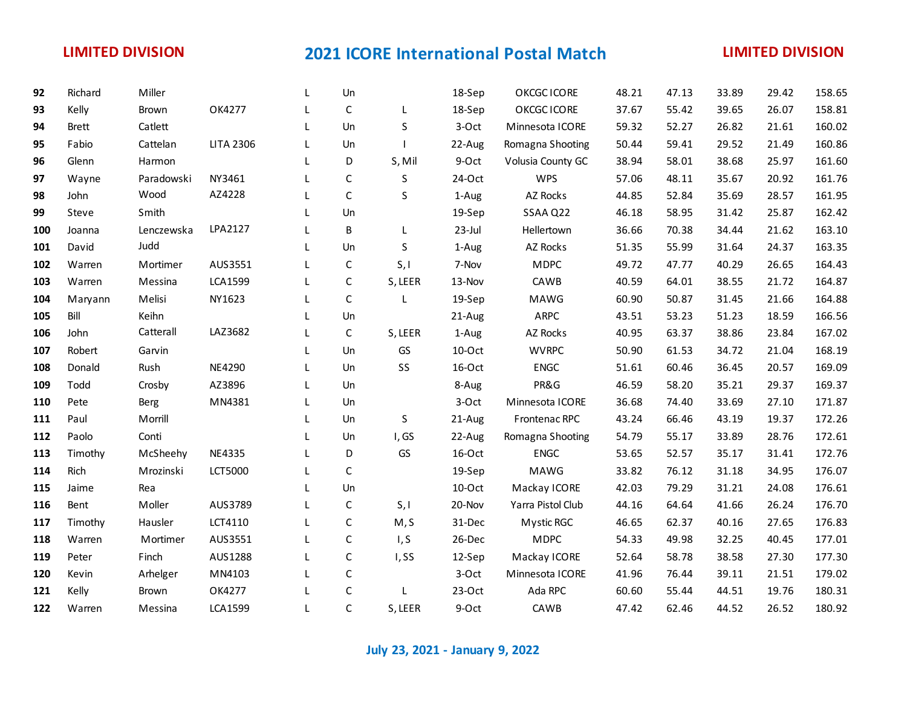| 92  | Richard      | Miller     |                  | L            | Un           |         | 18-Sep   | OKCGC ICORE       | 48.21 | 47.13 | 33.89 | 29.42 | 158.65 |
|-----|--------------|------------|------------------|--------------|--------------|---------|----------|-------------------|-------|-------|-------|-------|--------|
| 93  | Kelly        | Brown      | OK4277           | L            | $\mathsf C$  | Г       | 18-Sep   | OKCGC ICORE       | 37.67 | 55.42 | 39.65 | 26.07 | 158.81 |
| 94  | <b>Brett</b> | Catlett    |                  | L            | Un           | S       | 3-Oct    | Minnesota ICORE   | 59.32 | 52.27 | 26.82 | 21.61 | 160.02 |
| 95  | Fabio        | Cattelan   | <b>LITA 2306</b> | L            | Un           |         | 22-Aug   | Romagna Shooting  | 50.44 | 59.41 | 29.52 | 21.49 | 160.86 |
| 96  | Glenn        | Harmon     |                  | L            | D            | S, Mil  | 9-Oct    | Volusia County GC | 38.94 | 58.01 | 38.68 | 25.97 | 161.60 |
| 97  | Wayne        | Paradowski | NY3461           | L            | $\mathsf{C}$ | S       | 24-Oct   | <b>WPS</b>        | 57.06 | 48.11 | 35.67 | 20.92 | 161.76 |
| 98  | John         | Wood       | AZ4228           | L            | C            | S       | 1-Aug    | AZ Rocks          | 44.85 | 52.84 | 35.69 | 28.57 | 161.95 |
| 99  | Steve        | Smith      |                  | L            | Un           |         | 19-Sep   | SSAA Q22          | 46.18 | 58.95 | 31.42 | 25.87 | 162.42 |
| 100 | Joanna       | Lenczewska | LPA2127          | L            | B            | L       | 23-Jul   | Hellertown        | 36.66 | 70.38 | 34.44 | 21.62 | 163.10 |
| 101 | David        | Judd       |                  | $\mathsf{L}$ | Un           | S       | 1-Aug    | AZ Rocks          | 51.35 | 55.99 | 31.64 | 24.37 | 163.35 |
| 102 | Warren       | Mortimer   | AUS3551          | L            | C            | S, I    | 7-Nov    | <b>MDPC</b>       | 49.72 | 47.77 | 40.29 | 26.65 | 164.43 |
| 103 | Warren       | Messina    | <b>LCA1599</b>   | L            | C            | S, LEER | 13-Nov   | CAWB              | 40.59 | 64.01 | 38.55 | 21.72 | 164.87 |
| 104 | Maryann      | Melisi     | NY1623           | L            | $\mathsf{C}$ | L       | 19-Sep   | MAWG              | 60.90 | 50.87 | 31.45 | 21.66 | 164.88 |
| 105 | Bill         | Keihn      |                  | L            | Un           |         | 21-Aug   | ARPC              | 43.51 | 53.23 | 51.23 | 18.59 | 166.56 |
| 106 | John         | Catterall  | LAZ3682          | L            | $\mathsf C$  | S, LEER | 1-Aug    | AZ Rocks          | 40.95 | 63.37 | 38.86 | 23.84 | 167.02 |
| 107 | Robert       | Garvin     |                  | L            | Un           | GS      | 10-Oct   | <b>WVRPC</b>      | 50.90 | 61.53 | 34.72 | 21.04 | 168.19 |
| 108 | Donald       | Rush       | NE4290           | L            | Un           | SS      | 16-Oct   | <b>ENGC</b>       | 51.61 | 60.46 | 36.45 | 20.57 | 169.09 |
| 109 | Todd         | Crosby     | AZ3896           | L            | Un           |         | 8-Aug    | PR&G              | 46.59 | 58.20 | 35.21 | 29.37 | 169.37 |
| 110 | Pete         | Berg       | MN4381           | L            | Un           |         | 3-Oct    | Minnesota ICORE   | 36.68 | 74.40 | 33.69 | 27.10 | 171.87 |
| 111 | Paul         | Morrill    |                  | L            | Un           | $\sf S$ | 21-Aug   | Frontenac RPC     | 43.24 | 66.46 | 43.19 | 19.37 | 172.26 |
| 112 | Paolo        | Conti      |                  | L            | Un           | I, GS   | 22-Aug   | Romagna Shooting  | 54.79 | 55.17 | 33.89 | 28.76 | 172.61 |
| 113 | Timothy      | McSheehy   | <b>NE4335</b>    | L            | D            | GS      | 16-Oct   | <b>ENGC</b>       | 53.65 | 52.57 | 35.17 | 31.41 | 172.76 |
| 114 | <b>Rich</b>  | Mrozinski  | <b>LCT5000</b>   | L            | C            |         | 19-Sep   | <b>MAWG</b>       | 33.82 | 76.12 | 31.18 | 34.95 | 176.07 |
| 115 | Jaime        | Rea        |                  | L            | Un           |         | 10-Oct   | Mackay ICORE      | 42.03 | 79.29 | 31.21 | 24.08 | 176.61 |
| 116 | Bent         | Moller     | AUS3789          | L            | $\mathsf{C}$ | S, I    | 20-Nov   | Yarra Pistol Club | 44.16 | 64.64 | 41.66 | 26.24 | 176.70 |
| 117 | Timothy      | Hausler    | LCT4110          | L            | C            | M, S    | 31-Dec   | <b>Mystic RGC</b> | 46.65 | 62.37 | 40.16 | 27.65 | 176.83 |
| 118 | Warren       | Mortimer   | AUS3551          | L            | $\mathsf C$  | I, S    | 26-Dec   | <b>MDPC</b>       | 54.33 | 49.98 | 32.25 | 40.45 | 177.01 |
| 119 | Peter        | Finch      | AUS1288          | L            | $\mathsf C$  | I,SS    | 12-Sep   | Mackay ICORE      | 52.64 | 58.78 | 38.58 | 27.30 | 177.30 |
| 120 | Kevin        | Arhelger   | MN4103           | L            | $\mathsf C$  |         | 3-Oct    | Minnesota ICORE   | 41.96 | 76.44 | 39.11 | 21.51 | 179.02 |
| 121 | Kelly        | Brown      | OK4277           | L            | $\mathsf C$  | L       | $23-Oct$ | Ada RPC           | 60.60 | 55.44 | 44.51 | 19.76 | 180.31 |
| 122 | Warren       | Messina    | <b>LCA1599</b>   | L            | $\mathsf{C}$ | S, LEER | 9-Oct    | CAWB              | 47.42 | 62.46 | 44.52 | 26.52 | 180.92 |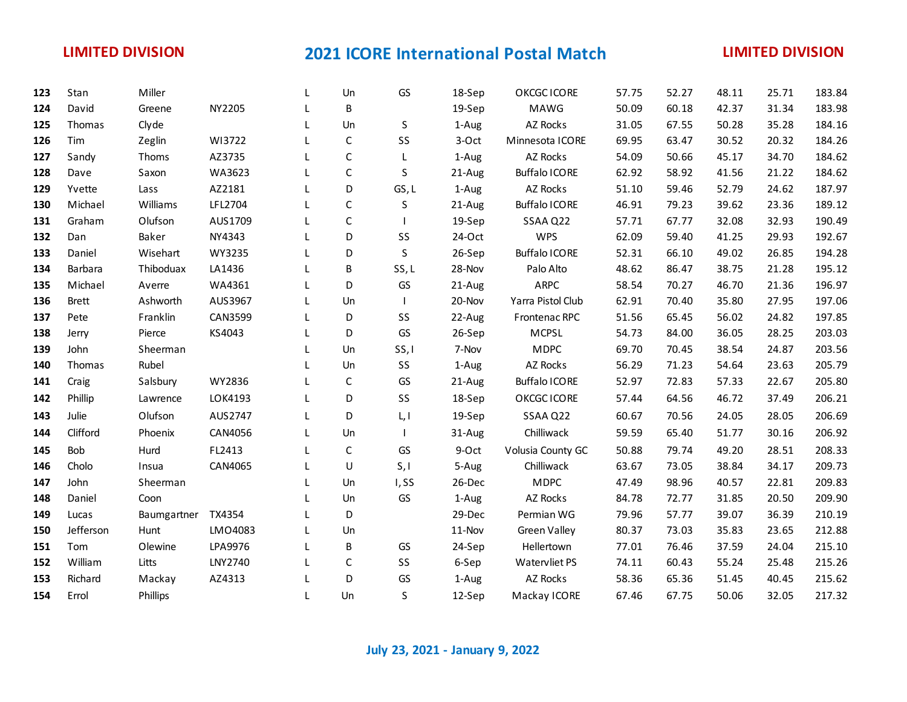| 123 | Stan         | Miller             |         |              | Un          | GS           | 18-Sep | OKCGC ICORE          | 57.75 | 52.27 | 48.11 | 25.71 | 183.84 |
|-----|--------------|--------------------|---------|--------------|-------------|--------------|--------|----------------------|-------|-------|-------|-------|--------|
| 124 | David        | Greene             | NY2205  |              | B           |              | 19-Sep | <b>MAWG</b>          | 50.09 | 60.18 | 42.37 | 31.34 | 183.98 |
| 125 | Thomas       | Clyde              |         |              | Un          | S            | 1-Aug  | AZ Rocks             | 31.05 | 67.55 | 50.28 | 35.28 | 184.16 |
| 126 | Tim          | Zeglin             | WI3722  | L            | $\mathsf C$ | SS           | 3-Oct  | Minnesota ICORE      | 69.95 | 63.47 | 30.52 | 20.32 | 184.26 |
| 127 | Sandy        | Thoms              | AZ3735  | L            | $\mathsf C$ | L            | 1-Aug  | AZ Rocks             | 54.09 | 50.66 | 45.17 | 34.70 | 184.62 |
| 128 | Dave         | Saxon              | WA3623  |              | $\mathsf C$ | S            | 21-Aug | <b>Buffalo ICORE</b> | 62.92 | 58.92 | 41.56 | 21.22 | 184.62 |
| 129 | Yvette       | Lass               | AZ2181  |              | D           | GS, L        | 1-Aug  | AZ Rocks             | 51.10 | 59.46 | 52.79 | 24.62 | 187.97 |
| 130 | Michael      | Williams           | LFL2704 | L            | $\mathsf C$ | S            | 21-Aug | <b>Buffalo ICORE</b> | 46.91 | 79.23 | 39.62 | 23.36 | 189.12 |
| 131 | Graham       | Olufson            | AUS1709 |              | $\mathsf C$ |              | 19-Sep | SSAA Q22             | 57.71 | 67.77 | 32.08 | 32.93 | 190.49 |
| 132 | Dan          | Baker              | NY4343  |              | D           | SS           | 24-Oct | <b>WPS</b>           | 62.09 | 59.40 | 41.25 | 29.93 | 192.67 |
| 133 | Daniel       | Wisehart           | WY3235  |              | D           | S            | 26-Sep | <b>Buffalo ICORE</b> | 52.31 | 66.10 | 49.02 | 26.85 | 194.28 |
| 134 | Barbara      | Thiboduax          | LA1436  |              | В           | SS, L        | 28-Nov | Palo Alto            | 48.62 | 86.47 | 38.75 | 21.28 | 195.12 |
| 135 | Michael      | Averre             | WA4361  | L            | D           | GS           | 21-Aug | <b>ARPC</b>          | 58.54 | 70.27 | 46.70 | 21.36 | 196.97 |
| 136 | <b>Brett</b> | Ashworth           | AUS3967 | L            | Un          |              | 20-Nov | Yarra Pistol Club    | 62.91 | 70.40 | 35.80 | 27.95 | 197.06 |
| 137 | Pete         | Franklin           | CAN3599 | L            | D           | SS           | 22-Aug | Frontenac RPC        | 51.56 | 65.45 | 56.02 | 24.82 | 197.85 |
| 138 | Jerry        | Pierce             | KS4043  | L            | D           | GS           | 26-Sep | <b>MCPSL</b>         | 54.73 | 84.00 | 36.05 | 28.25 | 203.03 |
| 139 | John         | Sheerman           |         | L            | Un          | SS, I        | 7-Nov  | <b>MDPC</b>          | 69.70 | 70.45 | 38.54 | 24.87 | 203.56 |
| 140 | Thomas       | Rubel              |         | T.           | Un          | SS           | 1-Aug  | AZ Rocks             | 56.29 | 71.23 | 54.64 | 23.63 | 205.79 |
| 141 | Craig        | Salsbury           | WY2836  |              | C           | GS           | 21-Aug | <b>Buffalo ICORE</b> | 52.97 | 72.83 | 57.33 | 22.67 | 205.80 |
| 142 | Phillip      | Lawrence           | LOK4193 | L            | D           | SS           | 18-Sep | OKCGC ICORE          | 57.44 | 64.56 | 46.72 | 37.49 | 206.21 |
| 143 | Julie        | Olufson            | AUS2747 | L            | D           | L, I         | 19-Sep | SSAA Q22             | 60.67 | 70.56 | 24.05 | 28.05 | 206.69 |
| 144 | Clifford     | Phoenix            | CAN4056 | L            | Un          | $\mathbf{I}$ | 31-Aug | Chilliwack           | 59.59 | 65.40 | 51.77 | 30.16 | 206.92 |
| 145 | Bob          | Hurd               | FL2413  |              | C           | GS           | 9-Oct  | Volusia County GC    | 50.88 | 79.74 | 49.20 | 28.51 | 208.33 |
| 146 | Cholo        | Insua              | CAN4065 | L            | U           | S, I         | 5-Aug  | Chilliwack           | 63.67 | 73.05 | 38.84 | 34.17 | 209.73 |
| 147 | John         | Sheerman           |         | T.           | Un          | I, SS        | 26-Dec | <b>MDPC</b>          | 47.49 | 98.96 | 40.57 | 22.81 | 209.83 |
| 148 | Daniel       | Coon               |         |              | Un          | GS           | 1-Aug  | AZ Rocks             | 84.78 | 72.77 | 31.85 | 20.50 | 209.90 |
| 149 | Lucas        | Baumgartner TX4354 |         |              | D           |              | 29-Dec | Permian WG           | 79.96 | 57.77 | 39.07 | 36.39 | 210.19 |
| 150 | Jefferson    | Hunt               | LMO4083 | L            | Un          |              | 11-Nov | <b>Green Valley</b>  | 80.37 | 73.03 | 35.83 | 23.65 | 212.88 |
| 151 | Tom          | Olewine            | LPA9976 | L            | В           | GS           | 24-Sep | Hellertown           | 77.01 | 76.46 | 37.59 | 24.04 | 215.10 |
| 152 | William      | Litts              | LNY2740 |              | $\mathsf C$ | SS           | 6-Sep  | Watervliet PS        | 74.11 | 60.43 | 55.24 | 25.48 | 215.26 |
| 153 | Richard      | Mackay             | AZ4313  |              | D           | GS           | 1-Aug  | AZ Rocks             | 58.36 | 65.36 | 51.45 | 40.45 | 215.62 |
| 154 | Errol        | Phillips           |         | $\mathbf{L}$ | Un          | S            | 12-Sep | Mackay ICORE         | 67.46 | 67.75 | 50.06 | 32.05 | 217.32 |